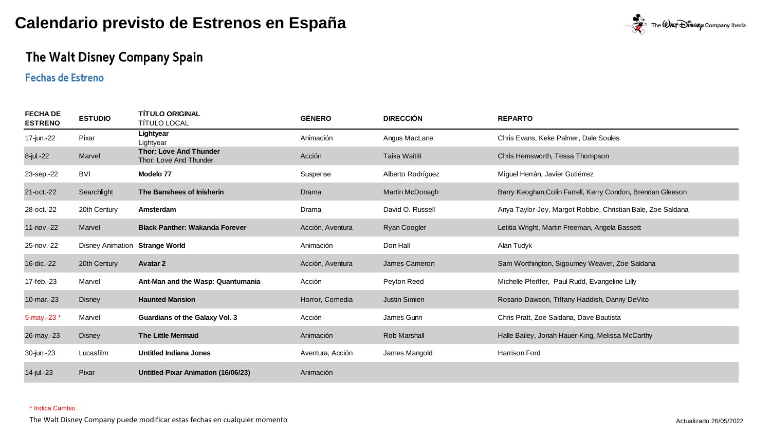

## The Walt Disney Company Spain

### **Fechas de Estreno**

| <b>FECHA DE</b><br><b>ESTRENO</b> | <b>ESTUDIO</b>                 | <b>TITULO ORIGINAL</b><br>TÍTULO LOCAL                  | <b>GÉNERO</b>    | <b>DIRECCIÓN</b>     | <b>REPARTO</b>                                              |
|-----------------------------------|--------------------------------|---------------------------------------------------------|------------------|----------------------|-------------------------------------------------------------|
| 17-jun.-22                        | Pixar                          | Lightyear<br>Lightyear                                  | Animación        | Angus MacLane        | Chris Evans, Keke Palmer, Dale Soules                       |
| 8-jul.-22                         | Marvel                         | <b>Thor: Love And Thunder</b><br>Thor: Love And Thunder | Acción           | Taika Waititi        | Chris Hemsworth, Tessa Thompson                             |
| 23-sep.-22                        | <b>BVI</b>                     | Modelo 77                                               | Suspense         | Alberto Rodríguez    | Miguel Herrán, Javier Gutiérrez                             |
| 21-oct.-22                        | Searchlight                    | The Banshees of Inisherin                               | Drama            | Martin McDonagh      | Barry Keoghan, Colin Farrell, Kerry Condon, Brendan Gleeson |
| 28-oct.-22                        | 20th Century                   | Amsterdam                                               | Drama            | David O. Russell     | Anya Taylor-Joy, Margot Robbie, Christian Bale, Zoe Saldana |
| 11- $nov.-22$                     | Marvel                         | <b>Black Panther: Wakanda Forever</b>                   | Acción, Aventura | <b>Ryan Coogler</b>  | Letitia Wright, Martin Freeman, Angela Bassett              |
| 25-nov.-22                        | Disney Animation Strange World |                                                         | Animación        | Don Hall             | Alan Tudyk                                                  |
| 16-dic.-22                        | 20th Century                   | <b>Avatar 2</b>                                         | Acción, Aventura | James Cameron        | Sam Worthington, Sigourney Weaver, Zoe Saldana              |
| 17-feb.-23                        | Marvel                         | Ant-Man and the Wasp: Quantumania                       | Acción           | Peyton Reed          | Michelle Pfeiffer, Paul Rudd, Evangeline Lilly              |
| 10-mar.-23                        | <b>Disney</b>                  | <b>Haunted Mansion</b>                                  | Horror, Comedia  | <b>Justin Simien</b> | Rosario Dawson, Tiffany Haddish, Danny DeVito               |
| 5-may.-23 $*$                     | Marvel                         | <b>Guardians of the Galaxy Vol. 3</b>                   | Acción           | James Gunn           | Chris Pratt, Zoe Saldana, Dave Bautista                     |
| 26-may.-23                        | <b>Disney</b>                  | <b>The Little Mermaid</b>                               | Animación        | <b>Rob Marshall</b>  | Halle Bailey, Jonah Hauer-King, Melissa McCarthy            |
| 30-jun.-23                        | Lucasfilm                      | <b>Untitled Indiana Jones</b>                           | Aventura, Acción | James Mangold        | <b>Harrison Ford</b>                                        |
| 14-jul.-23                        | Pixar                          | <b>Untitled Pixar Animation (16/06/23)</b>              | Animación        |                      |                                                             |

#### \* Indica Cambio

The Walt Disney Company puede modificar estas fechas en cualquier momento